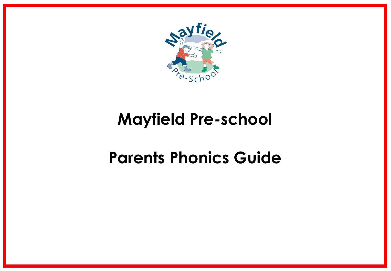

# **Mayfield Pre-school**

# **Parents Phonics Guide**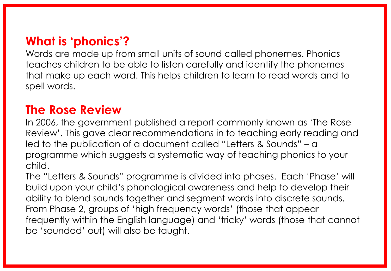## **What is 'phonics'?**

Words are made up from small units of sound called phonemes. Phonics teaches children to be able to listen carefully and identify the phonemes that make up each word. This helps children to learn to read words and to spell words.

#### **The Rose Review**

In 2006, the government published a report commonly known as 'The Rose Review'. This gave clear recommendations in to teaching early reading and led to the publication of a document called "Letters & Sounds" – a programme which suggests a systematic way of teaching phonics to your child.

The "Letters & Sounds" programme is divided into phases. Each 'Phase' will build upon your child's phonological awareness and help to develop their ability to blend sounds together and segment words into discrete sounds. From Phase 2, groups of 'high frequency words' (those that appear frequently within the English language) and 'tricky' words (those that cannot be 'sounded' out) will also be taught.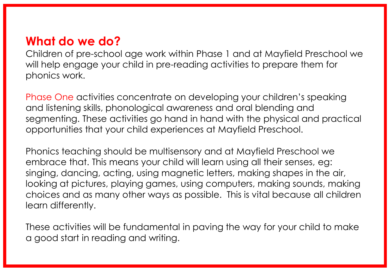#### **What do we do?**

Children of pre-school age work within Phase 1 and at Mayfield Preschool we will help engage your child in pre-reading activities to prepare them for phonics work.

Phase One activities concentrate on developing your children's speaking and listening skills, phonological awareness and oral blending and segmenting. These activities go hand in hand with the physical and practical opportunities that your child experiences at Mayfield Preschool.

Phonics teaching should be multisensory and at Mayfield Preschool we embrace that. This means your child will learn using all their senses, eg: singing, dancing, acting, using magnetic letters, making shapes in the air, looking at pictures, playing games, using computers, making sounds, making choices and as many other ways as possible. This is vital because all children learn differently.

These activities will be fundamental in paving the way for your child to make a good start in reading and writing.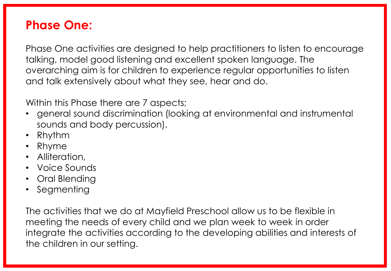#### **Phase One:**

Phase One activities are designed to help practitioners to listen to encourage talking, model good listening and excellent spoken language. The overarching aim is for children to experience regular opportunities to listen and talk extensively about what they see, hear and do.

Within this Phase there are 7 aspects;

- general sound discrimination (looking at environmental and instrumental sounds and body percussion),
- Rhythm
- Rhyme
- Alliteration,
- Voice Sounds
- Oral Blending
- Segmenting

The activities that we do at Mayfield Preschool allow us to be flexible in meeting the needs of every child and we plan week to week in order integrate the activities according to the developing abilities and interests of the children in our setting.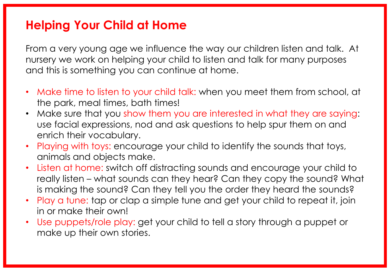### **Helping Your Child at Home**

From a very young age we influence the way our children listen and talk. At nursery we work on helping your child to listen and talk for many purposes and this is something you can continue at home.

- Make time to listen to your child talk: when you meet them from school, at the park, meal times, bath times!
- Make sure that you show them you are interested in what they are saying: use facial expressions, nod and ask questions to help spur them on and enrich their vocabulary.
- Playing with toys: encourage your child to identify the sounds that toys, animals and objects make.
- Listen at home: switch off distracting sounds and encourage your child to really listen – what sounds can they hear? Can they copy the sound? What is making the sound? Can they tell you the order they heard the sounds?
- Play a tune: tap or clap a simple tune and get your child to repeat it, join in or make their own!
- Use puppets/role play: get your child to tell a story through a puppet or make up their own stories.